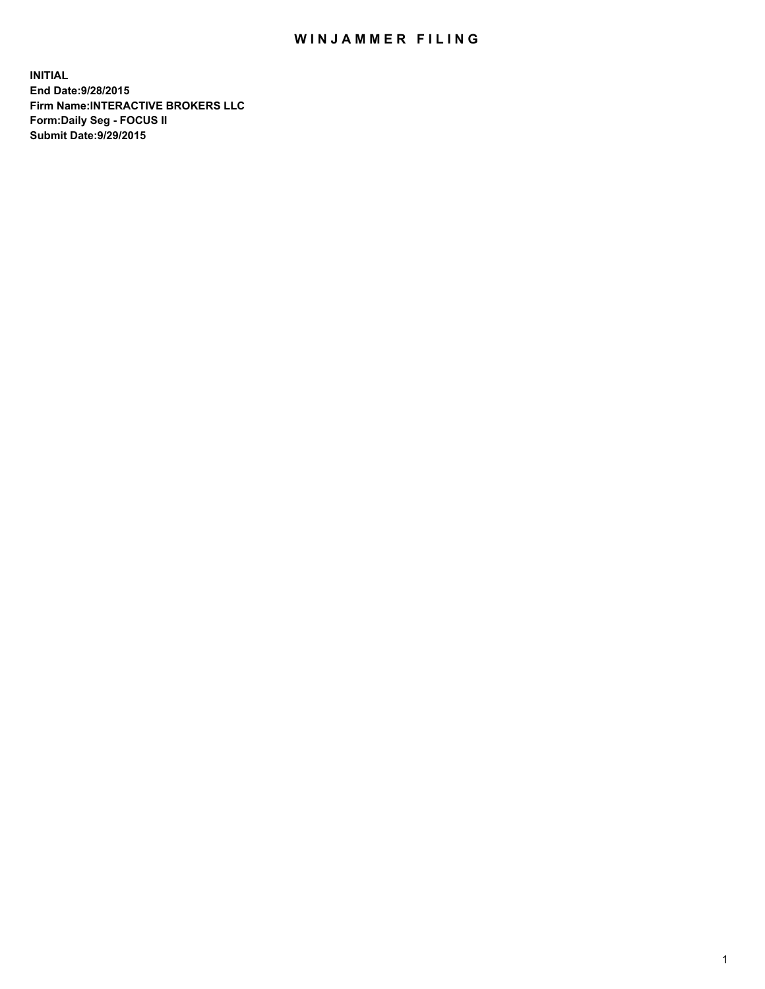## WIN JAMMER FILING

**INITIAL End Date:9/28/2015 Firm Name:INTERACTIVE BROKERS LLC Form:Daily Seg - FOCUS II Submit Date:9/29/2015**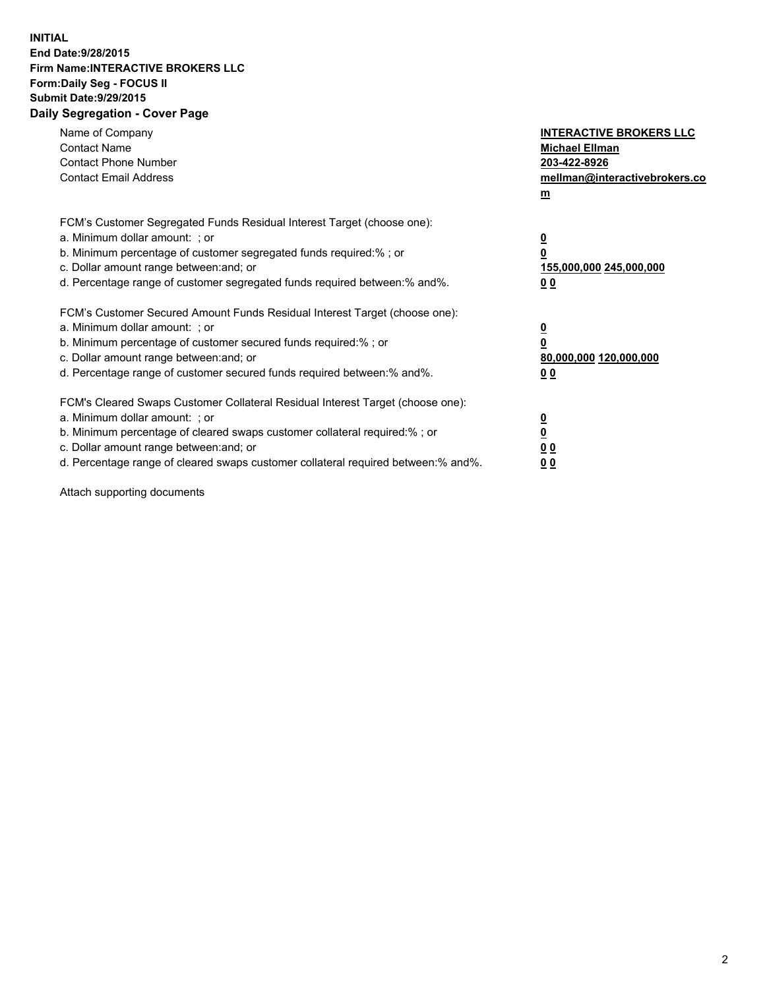## **INITIAL End Date:9/28/2015 Firm Name:INTERACTIVE BROKERS LLC Form:Daily Seg - FOCUS II Submit Date:9/29/2015 Daily Segregation - Cover Page**

| Name of Company<br><b>Contact Name</b><br><b>Contact Phone Number</b><br><b>Contact Email Address</b>                                                                                                                                                                                                                          | <b>INTERACTIVE BROKERS LLC</b><br><b>Michael Ellman</b><br>203-422-8926<br>mellman@interactivebrokers.co<br>$m$ |
|--------------------------------------------------------------------------------------------------------------------------------------------------------------------------------------------------------------------------------------------------------------------------------------------------------------------------------|-----------------------------------------------------------------------------------------------------------------|
| FCM's Customer Segregated Funds Residual Interest Target (choose one):<br>a. Minimum dollar amount: ; or<br>b. Minimum percentage of customer segregated funds required:% ; or<br>c. Dollar amount range between: and; or<br>d. Percentage range of customer segregated funds required between: % and %.                       | $\overline{\mathbf{0}}$<br>0<br>155,000,000 245,000,000<br>00                                                   |
| FCM's Customer Secured Amount Funds Residual Interest Target (choose one):<br>a. Minimum dollar amount: ; or<br>b. Minimum percentage of customer secured funds required:%; or<br>c. Dollar amount range between: and; or<br>d. Percentage range of customer secured funds required between: % and %.                          | $\overline{\mathbf{0}}$<br>0<br>80,000,000 120,000,000<br>0 <sub>0</sub>                                        |
| FCM's Cleared Swaps Customer Collateral Residual Interest Target (choose one):<br>a. Minimum dollar amount: ; or<br>b. Minimum percentage of cleared swaps customer collateral required:% ; or<br>c. Dollar amount range between: and; or<br>d. Percentage range of cleared swaps customer collateral required between:% and%. | $\overline{\mathbf{0}}$<br>$\underline{\mathbf{0}}$<br>0 <sub>0</sub><br>0 <sub>0</sub>                         |

Attach supporting documents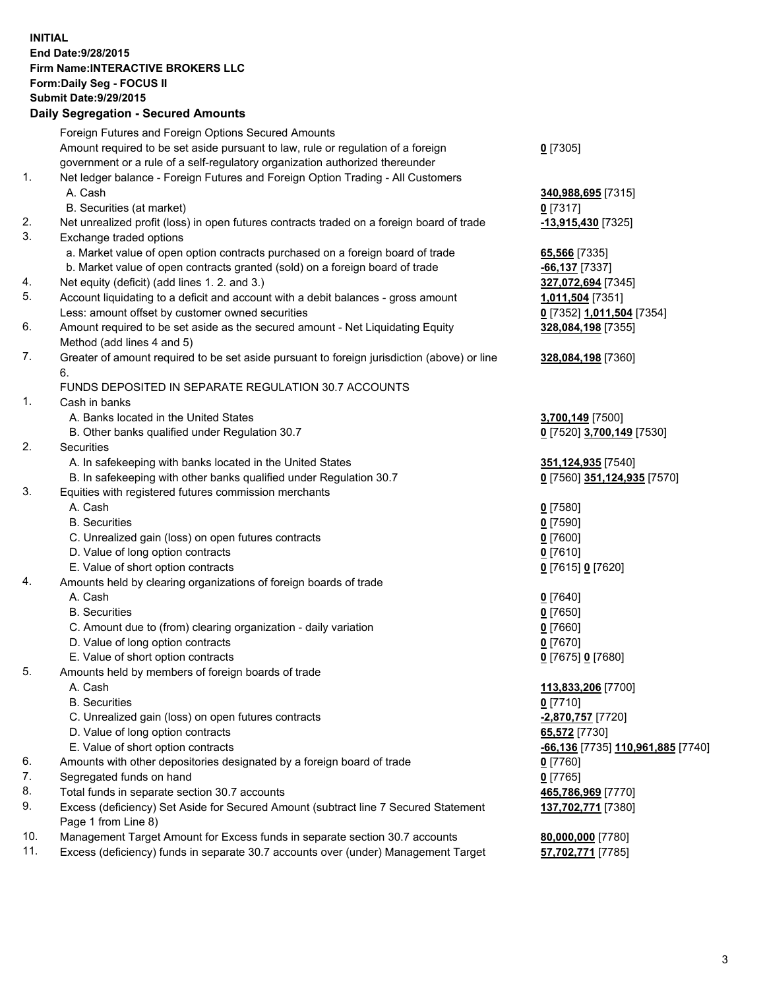## **INITIAL End Date:9/28/2015 Firm Name:INTERACTIVE BROKERS LLC Form:Daily Seg - FOCUS II Submit Date:9/29/2015 Daily Segregation - Secured Amounts**

|     | Foreign Futures and Foreign Options Secured Amounts                                         |                                  |
|-----|---------------------------------------------------------------------------------------------|----------------------------------|
|     | Amount required to be set aside pursuant to law, rule or regulation of a foreign            | $0$ [7305]                       |
|     | government or a rule of a self-regulatory organization authorized thereunder                |                                  |
| 1.  | Net ledger balance - Foreign Futures and Foreign Option Trading - All Customers             |                                  |
|     | A. Cash                                                                                     | 340,988,695 [7315]               |
|     | B. Securities (at market)                                                                   | $0$ [7317]                       |
| 2.  | Net unrealized profit (loss) in open futures contracts traded on a foreign board of trade   | -13,915,430 <sup>[7325]</sup>    |
| 3.  | Exchange traded options                                                                     |                                  |
|     | a. Market value of open option contracts purchased on a foreign board of trade              | 65,566 [7335]                    |
|     | b. Market value of open contracts granted (sold) on a foreign board of trade                | $-66,137$ [7337]                 |
| 4.  | Net equity (deficit) (add lines 1. 2. and 3.)                                               | 327,072,694 [7345]               |
| 5.  | Account liquidating to a deficit and account with a debit balances - gross amount           | 1,011,504 [7351]                 |
|     | Less: amount offset by customer owned securities                                            | 0 [7352] 1,011,504 [7354]        |
| 6.  | Amount required to be set aside as the secured amount - Net Liquidating Equity              | 328,084,198 [7355]               |
|     | Method (add lines 4 and 5)                                                                  |                                  |
| 7.  | Greater of amount required to be set aside pursuant to foreign jurisdiction (above) or line | 328,084,198 [7360]               |
|     | 6.                                                                                          |                                  |
|     | FUNDS DEPOSITED IN SEPARATE REGULATION 30.7 ACCOUNTS                                        |                                  |
| 1.  | Cash in banks                                                                               |                                  |
|     | A. Banks located in the United States                                                       | 3,700,149 [7500]                 |
|     | B. Other banks qualified under Regulation 30.7                                              | 0 [7520] 3,700,149 [7530]        |
| 2.  | Securities                                                                                  |                                  |
|     | A. In safekeeping with banks located in the United States                                   | 351,124,935 [7540]               |
|     | B. In safekeeping with other banks qualified under Regulation 30.7                          | 0 [7560] 351,124,935 [7570]      |
| 3.  | Equities with registered futures commission merchants                                       |                                  |
|     | A. Cash                                                                                     | $0$ [7580]                       |
|     | <b>B.</b> Securities                                                                        | $0$ [7590]                       |
|     | C. Unrealized gain (loss) on open futures contracts                                         | $0$ [7600]                       |
|     | D. Value of long option contracts                                                           | $0$ [7610]                       |
|     | E. Value of short option contracts                                                          | 0 [7615] 0 [7620]                |
| 4.  | Amounts held by clearing organizations of foreign boards of trade                           |                                  |
|     | A. Cash                                                                                     | $0$ [7640]                       |
|     | <b>B.</b> Securities                                                                        | $0$ [7650]                       |
|     | C. Amount due to (from) clearing organization - daily variation                             | $0$ [7660]                       |
|     | D. Value of long option contracts                                                           | $0$ [7670]                       |
|     | E. Value of short option contracts                                                          | 0 [7675] 0 [7680]                |
| 5.  | Amounts held by members of foreign boards of trade                                          |                                  |
|     | A. Cash                                                                                     | 113,833,206 [7700]               |
|     | <b>B.</b> Securities                                                                        | $0$ [7710]                       |
|     | C. Unrealized gain (loss) on open futures contracts                                         | -2,870,757 [7720]                |
|     | D. Value of long option contracts                                                           | 65,572 [7730]                    |
|     | E. Value of short option contracts                                                          | 66,136 [7735] 110,961,885 [7740] |
| 6.  | Amounts with other depositories designated by a foreign board of trade                      | $0$ [7760]                       |
| 7.  |                                                                                             |                                  |
| 8.  | Segregated funds on hand                                                                    | $0$ [7765]                       |
| 9.  | Total funds in separate section 30.7 accounts                                               | 465,786,969 [7770]               |
|     | Excess (deficiency) Set Aside for Secured Amount (subtract line 7 Secured Statement         | 137,702,771 [7380]               |
|     | Page 1 from Line 8)                                                                         |                                  |
| 10. | Management Target Amount for Excess funds in separate section 30.7 accounts                 | 80,000,000 [7780]                |
| 11. | Excess (deficiency) funds in separate 30.7 accounts over (under) Management Target          | 57,702,771 [7785]                |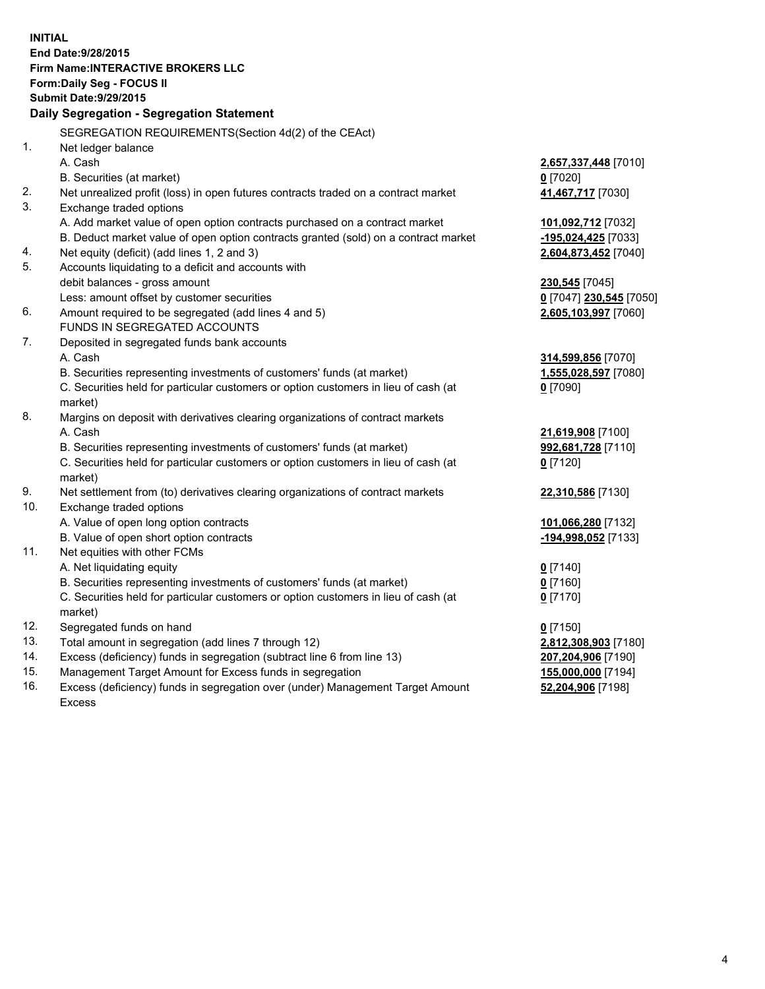**INITIAL End Date:9/28/2015 Firm Name:INTERACTIVE BROKERS LLC Form:Daily Seg - FOCUS II Submit Date:9/29/2015 Daily Segregation - Segregation Statement** SEGREGATION REQUIREMENTS(Section 4d(2) of the CEAct) 1. Net ledger balance A. Cash **2,657,337,448** [7010] B. Securities (at market) **0** [7020] 2. Net unrealized profit (loss) in open futures contracts traded on a contract market **41,467,717** [7030] 3. Exchange traded options A. Add market value of open option contracts purchased on a contract market **101,092,712** [7032] B. Deduct market value of open option contracts granted (sold) on a contract market **-195,024,425** [7033] 4. Net equity (deficit) (add lines 1, 2 and 3) **2,604,873,452** [7040] 5. Accounts liquidating to a deficit and accounts with debit balances - gross amount **230,545** [7045] Less: amount offset by customer securities **0** [7047] **230,545** [7050] 6. Amount required to be segregated (add lines 4 and 5) **2,605,103,997** [7060] FUNDS IN SEGREGATED ACCOUNTS 7. Deposited in segregated funds bank accounts A. Cash **314,599,856** [7070] B. Securities representing investments of customers' funds (at market) **1,555,028,597** [7080] C. Securities held for particular customers or option customers in lieu of cash (at market) **0** [7090] 8. Margins on deposit with derivatives clearing organizations of contract markets A. Cash **21,619,908** [7100] B. Securities representing investments of customers' funds (at market) **992,681,728** [7110] C. Securities held for particular customers or option customers in lieu of cash (at market) **0** [7120] 9. Net settlement from (to) derivatives clearing organizations of contract markets **22,310,586** [7130] 10. Exchange traded options A. Value of open long option contracts **101,066,280** [7132] B. Value of open short option contracts **-194,998,052** [7133] 11. Net equities with other FCMs A. Net liquidating equity **0** [7140] B. Securities representing investments of customers' funds (at market) **0** [7160] C. Securities held for particular customers or option customers in lieu of cash (at market) **0** [7170] 12. Segregated funds on hand **0** [7150] 13. Total amount in segregation (add lines 7 through 12) **2,812,308,903** [7180] 14. Excess (deficiency) funds in segregation (subtract line 6 from line 13) **207,204,906** [7190] 15. Management Target Amount for Excess funds in segregation **155,000,000** [7194]

16. Excess (deficiency) funds in segregation over (under) Management Target Amount Excess

**52,204,906** [7198]